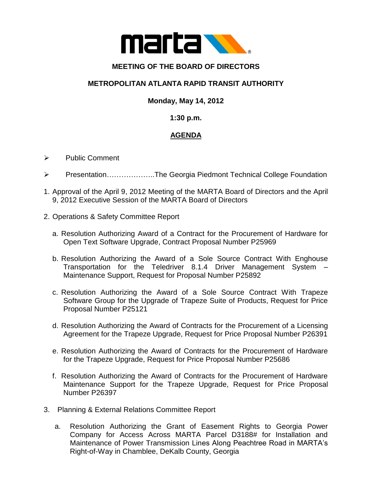

# **MEETING OF THE BOARD OF DIRECTORS**

## **METROPOLITAN ATLANTA RAPID TRANSIT AUTHORITY**

### **Monday, May 14, 2012**

#### **1:30 p.m.**

## **AGENDA**

- $\triangleright$  Public Comment
- Presentation………………..The Georgia Piedmont Technical College Foundation
- 1. Approval of the April 9, 2012 Meeting of the MARTA Board of Directors and the April 9, 2012 Executive Session of the MARTA Board of Directors
- 2. Operations & Safety Committee Report
	- a. Resolution Authorizing Award of a Contract for the Procurement of Hardware for Open Text Software Upgrade, Contract Proposal Number P25969
	- b. Resolution Authorizing the Award of a Sole Source Contract With Enghouse Transportation for the Teledriver 8.1.4 Driver Management System – Maintenance Support, Request for Proposal Number P25892
	- c. Resolution Authorizing the Award of a Sole Source Contract With Trapeze Software Group for the Upgrade of Trapeze Suite of Products, Request for Price Proposal Number P25121
	- d. Resolution Authorizing the Award of Contracts for the Procurement of a Licensing Agreement for the Trapeze Upgrade, Request for Price Proposal Number P26391
	- e. Resolution Authorizing the Award of Contracts for the Procurement of Hardware for the Trapeze Upgrade, Request for Price Proposal Number P25686
	- f. Resolution Authorizing the Award of Contracts for the Procurement of Hardware Maintenance Support for the Trapeze Upgrade, Request for Price Proposal Number P26397
- 3. Planning & External Relations Committee Report
	- a. Resolution Authorizing the Grant of Easement Rights to Georgia Power Company for Access Across MARTA Parcel D3188# for Installation and Maintenance of Power Transmission Lines Along Peachtree Road in MARTA's Right-of-Way in Chamblee, DeKalb County, Georgia